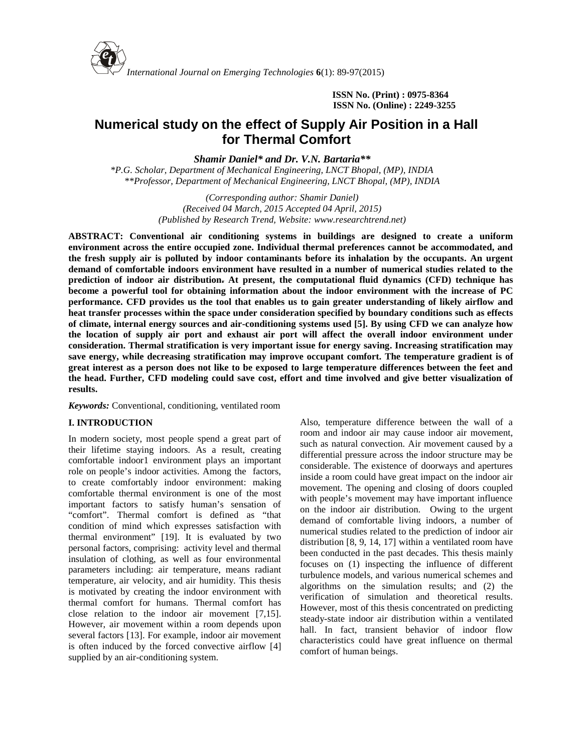

**ISSN No. (Print) : 0975-8364 ISSN No. (Online) : 2249-3255**

# **Numerical study on the effect of Supply Air Position in a Hall for Thermal Comfort**

*Shamir Daniel\* and Dr. V.N. Bartaria\*\**

*\*P.G. Scholar, Department of Mechanical Engineering, LNCT Bhopal, (MP), INDIA \*\*Professor, Department of Mechanical Engineering, LNCT Bhopal, (MP), INDIA*

> *(Corresponding author: Shamir Daniel) (Received 04 March, 2015 Accepted 04 April, 2015) (Published by Research Trend, Website: [www.researchtrend.net\)](www.researchtrend.net)*

**ABSTRACT: Conventional air conditioning systems in buildings are designed to create a uniform environment across the entire occupied zone. Individual thermal preferences cannot be accommodated, and the fresh supply air is polluted by indoor contaminants before its inhalation by the occupants. An urgent demand of comfortable indoors environment have resulted in a number of numerical studies related to the prediction of indoor air distribution. At present, the computational fluid dynamics (CFD) technique has become a powerful tool for obtaining information about the indoor environment with the increase of PC performance. CFD provides us the tool that enables us to gain greater understanding of likely airflow and heat transfer processes within the space under consideration specified by boundary conditions such as effects of climate, internal energy sources and air-conditioning systems used [5]. By using CFD we can analyze how the location of supply air port and exhaust air port will affect the overall indoor environment under consideration. Thermal stratification is very important issue for energy saving. Increasing stratification may save energy, while decreasing stratification may improve occupant comfort. The temperature gradient is of great interest as a person does not like to be exposed to large temperature differences between the feet and the head. Further, CFD modeling could save cost, effort and time involved and give better visualization of results.**

*Keywords:* Conventional, conditioning, ventilated room

# **I. INTRODUCTION**

In modern society, most people spend a great part of their lifetime staying indoors. As a result, creating comfortable indoor1 environment plays an important role on people's indoor activities. Among the factors, to create comfortably indoor environment: making comfortable thermal environment is one of the most important factors to satisfy human's sensation of "comfort". Thermal comfort is defined as "that condition of mind which expresses satisfaction with thermal environment" [19]. It is evaluated by two personal factors, comprising: activity level and thermal insulation of clothing, as well as four environmental parameters including: air temperature, means radiant temperature, air velocity, and air humidity. This thesis is motivated by creating the indoor environment with thermal comfort for humans. Thermal comfort has close relation to the indoor air movement [7,15]. However, air movement within a room depends upon several factors [13]. For example, indoor air movement is often induced by the forced convective airflow [4] supplied by an air-conditioning system.

Also, temperature difference between the wall of a room and indoor air may cause indoor air movement, such as natural convection. Air movement caused by a differential pressure across the indoor structure may be considerable. The existence of doorways and apertures inside a room could have great impact on the indoor air movement. The opening and closing of doors coupled with people's movement may have important influence on the indoor air distribution. Owing to the urgent demand of comfortable living indoors, a number of numerical studies related to the prediction of indoor air distribution [8, 9, 14, 17] within a ventilated room have been conducted in the past decades. This thesis mainly focuses on (1) inspecting the influence of different turbulence models, and various numerical schemes and algorithms on the simulation results; and (2) the verification of simulation and theoretical results. However, most of this thesis concentrated on predicting steady-state indoor air distribution within a ventilated hall. In fact, transient behavior of indoor flow characteristics could have great influence on thermal comfort of human beings.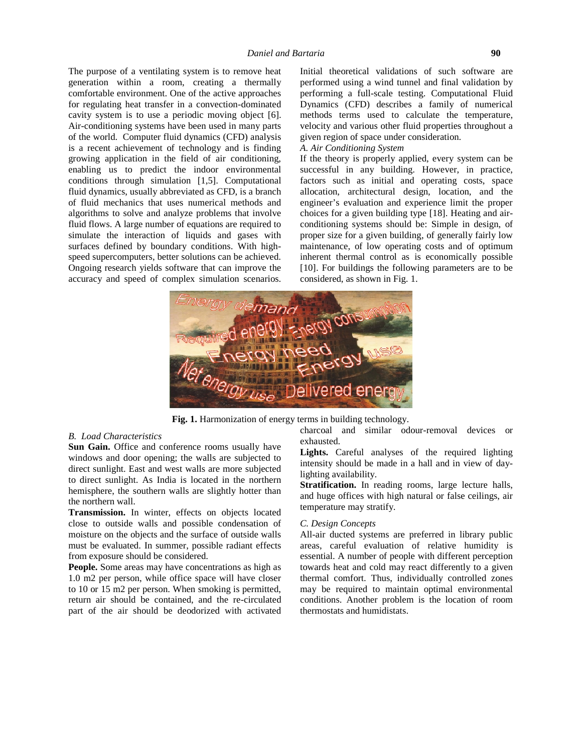The purpose of a ventilating system is to remove heat generation within a room, creating a thermally comfortable environment. One of the active approaches for regulating heat transfer in a convection-dominated cavity system is to use a periodic moving object [6]. Air-conditioning systems have been used in many parts of the world. Computer fluid dynamics (CFD) analysis is a recent achievement of technology and is finding growing application in the field of air conditioning, enabling us to predict the indoor environmental conditions through simulation [1,5]. Computational fluid dynamics, usually abbreviated as CFD, is a branch of fluid mechanics that uses numerical methods and algorithms to solve and analyze problems that involve fluid flows. A large number of equations are required to simulate the interaction of liquids and gases with surfaces defined by boundary conditions. With high speed supercomputers, better solutions can be achieved. Ongoing research yields software that can improve the accuracy and speed of complex simulation scenarios.

Initial theoretical validations of such software are performed using a wind tunnel and final validation by performing a full-scale testing. Computational Fluid Dynamics (CFD) describes a family of numerical methods terms used to calculate the temperature, velocity and various other fluid properties throughout a given region of space under consideration.

### *A. Air Conditioning System*

If the theory is properly applied, every system can be successful in any building. However, in practice, factors such as initial and operating costs, space allocation, architectural design, location, and the engineer's evaluation and experience limit the proper choices for a given building type [18]. Heating and air conditioning systems should be: Simple in design, of proper size for a given building, of generally fairly low maintenance, of low operating costs and of optimum inherent thermal control as is economically possible [10]. For buildings the following parameters are to be considered, as shown in Fig. 1.



**Fig. 1.** Harmonization of energy terms in building technology.

#### *B. Load Characteristics*

Sun Gain. Office and conference rooms usually have windows and door opening; the walls are subjected to direct sunlight. East and west walls are more subjected to direct sunlight. As India is located in the northern hemisphere, the southern walls are slightly hotter than the northern wall.

**Transmission.** In winter, effects on objects located close to outside walls and possible condensation of moisture on the objects and the surface of outside walls must be evaluated. In summer, possible radiant effects from exposure should be considered.

**People.** Some areas may have concentrations as high as 1.0 m2 per person, while office space will have closer to 10 or 15 m2 per person. When smoking is permitted, return air should be contained, and the re-circulated part of the air should be deodorized with activated charcoal and similar odour-removal devices or exhausted.

**Lights.** Careful analyses of the required lighting intensity should be made in a hall and in view of daylighting availability.

**Stratification.** In reading rooms, large lecture halls, and huge offices with high natural or false ceilings, air temperature may stratify.

### *C. Design Concepts*

All-air ducted systems are preferred in library public areas, careful evaluation of relative humidity is essential. A number of people with different perception towards heat and cold may react differently to a given thermal comfort. Thus, individually controlled zones may be required to maintain optimal environmental conditions. Another problem is the location of room thermostats and humidistats.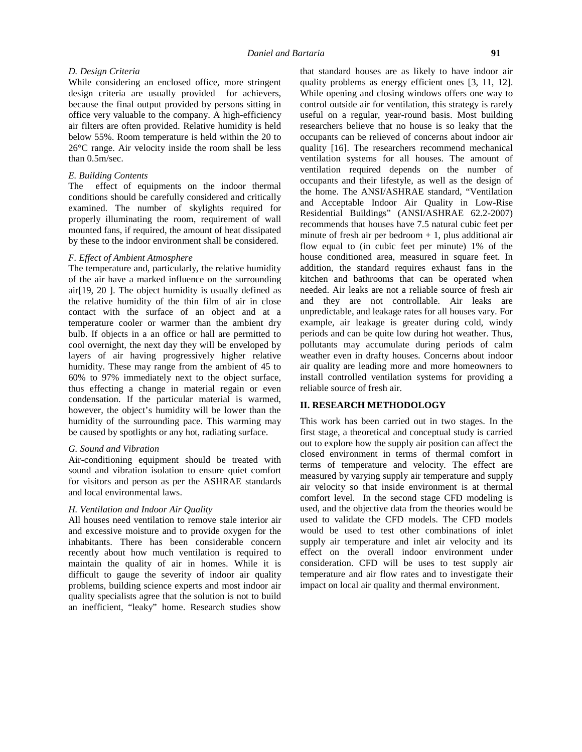### *D. Design Criteria*

While considering an enclosed office, more stringent design criteria are usually provided for achievers, because the final output provided by persons sitting in office very valuable to the company. A high-efficiency air filters are often provided. Relative humidity is held below 55%. Room temperature is held within the 20 to 26°C range. Air velocity inside the room shall be less than 0.5m/sec.

### *E. Building Contents*

The effect of equipments on the indoor thermal conditions should be carefully considered and critically examined. The number of skylights required for properly illuminating the room, requirement of wall mounted fans, if required, the amount of heat dissipated by these to the indoor environment shall be considered.

### *F. Effect of Ambient Atmosphere*

The temperature and, particularly, the relative humidity of the air have a marked influence on the surrounding air[19, 20 ]. The object humidity is usually defined as the relative humidity of the thin film of air in close contact with the surface of an object and at a temperature cooler or warmer than the ambient dry bulb. If objects in a an office or hall are permitted to cool overnight, the next day they will be enveloped by layers of air having progressively higher relative humidity. These may range from the ambient of 45 to 60% to 97% immediately next to the object surface, thus effecting a change in material regain or even condensation. If the particular material is warmed, however, the object's humidity will be lower than the humidity of the surrounding pace. This warming may be caused by spotlights or any hot, radiating surface.

### *G. Sound and Vibration*

Air-conditioning equipment should be treated with sound and vibration isolation to ensure quiet comfort for visitors and person as per the ASHRAE standards and local environmental laws.

#### *H. Ventilation and Indoor Air Quality*

All houses need ventilation to remove stale interior air and excessive moisture and to provide oxygen for the inhabitants. There has been considerable concern recently about how much ventilation is required to maintain the quality of air in homes. While it is difficult to gauge the severity of indoor air quality problems, building science experts and most indoor air quality specialists agree that the solution is not to build an inefficient, "leaky" home. Research studies show

that standard houses are as likely to have indoor air quality problems as energy efficient ones [3, 11, 12]. While opening and closing windows offers one way to control outside air for ventilation, this strategy is rarely useful on a regular, year-round basis. Most building researchers believe that no house is so leaky that the occupants can be relieved of concerns about indoor air quality [16]. The researchers recommend mechanical ventilation systems for all houses. The amount of ventilation required depends on the number of occupants and their lifestyle, as well as the design of the home. The ANSI/ASHRAE standard, "Ventilation and Acceptable Indoor Air Quality in Low-Rise Residential Buildings" (ANSI/ASHRAE 62.2-2007) recommends that houses have 7.5 natural cubic feet per minute of fresh air per bedroom  $+ 1$ , plus additional air flow equal to (in cubic feet per minute) 1% of the house conditioned area, measured in square feet. In addition, the standard requires exhaust fans in the kitchen and bathrooms that can be operated when needed. Air leaks are not a reliable source of fresh air and they are not controllable. Air leaks are unpredictable, and leakage rates for all houses vary. For example, air leakage is greater during cold, windy periods and can be quite low during hot weather. Thus, pollutants may accumulate during periods of calm weather even in drafty houses. Concerns about indoor air quality are leading more and more homeowners to install controlled ventilation systems for providing a reliable source of fresh air.

# **II. RESEARCH METHODOLOGY**

This work has been carried out in two stages. In the first stage, a theoretical and conceptual study is carried out to explore how the supply air position can affect the closed environment in terms of thermal comfort in terms of temperature and velocity. The effect are measured by varying supply air temperature and supply air velocity so that inside environment is at thermal comfort level. In the second stage CFD modeling is used, and the objective data from the theories would be used to validate the CFD models. The CFD models would be used to test other combinations of inlet supply air temperature and inlet air velocity and its effect on the overall indoor environment under consideration. CFD will be uses to test supply air temperature and air flow rates and to investigate their impact on local air quality and thermal environment.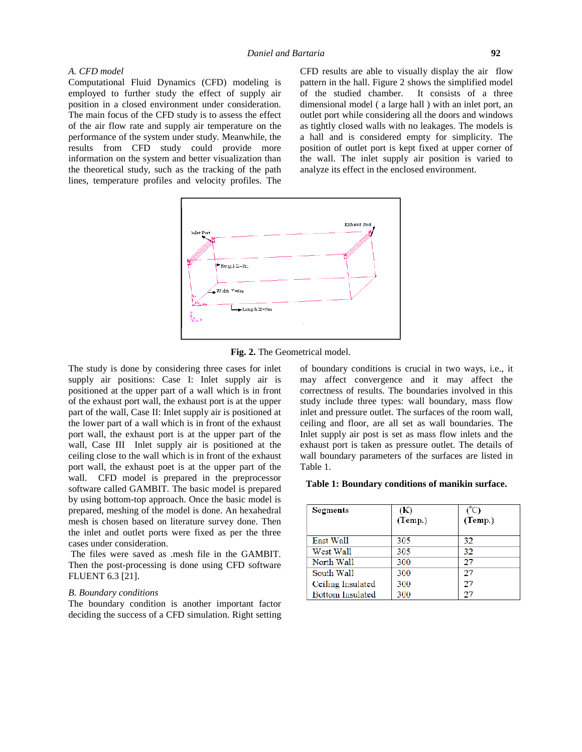### *A. CFD model*

Computational Fluid Dynamics (CFD) modeling is employed to further study the effect of supply air position in a closed environment under consideration. The main focus of the CFD study is to assess the effect of the air flow rate and supply air temperature on the performance of the system under study. Meanwhile, the results from CFD study could provide more information on the system and better visualization than the theoretical study, such as the tracking of the path lines, temperature profiles and velocity profiles. The CFD results are able to visually display the air flow pattern in the hall. Figure 2 shows the simplified model of the studied chamber. It consists of a three dimensional model ( a large hall ) with an inlet port, an outlet port while considering all the doors and windows as tightly closed walls with no leakages. The models is a hall and is considered empty for simplicity. The position of outlet port is kept fixed at upper corner of the wall. The inlet supply air position is varied to analyze its effect in the enclosed environment.



**Fig. 2.** The Geometrical model.

The study is done by considering three cases for inlet supply air positions: Case I: Inlet supply air is positioned at the upper part of a wall which is in front of the exhaust port wall, the exhaust port is at the upper part of the wall, Case II: Inlet supply air is positioned at the lower part of a wall which is in front of the exhaust port wall, the exhaust port is at the upper part of the wall, Case III Inlet supply air is positioned at the ceiling close to the wall which is in front of the exhaust port wall, the exhaust poet is at the upper part of the wall. CFD model is prepared in the preprocessor software called GAMBIT. The basic model is prepared by using bottom-top approach. Once the basic model is prepared, meshing of the model is done. An hexahedral mesh is chosen based on literature survey done. Then the inlet and outlet ports were fixed as per the three cases under consideration.

The files were saved as .mesh file in the GAMBIT. Then the post-processing is done using CFD software FLUENT 6.3 [21].

### *B. Boundary conditions*

The boundary condition is another important factor deciding the success of a CFD simulation. Right setting of boundary conditions is crucial in two ways, i.e., it may affect convergence and it may affect the correctness of results. The boundaries involved in this study include three types: wall boundary, mass flow inlet and pressure outlet. The surfaces of the room wall, ceiling and floor, are all set as wall boundaries. The Inlet supply air post is set as mass flow inlets and the exhaust port is taken as pressure outlet. The details of wall boundary parameters of the surfaces are listed in Table 1.

#### **Table 1: Boundary conditions of manikin surface.**

| Segments          | (K)<br>(Temp.) | (C)<br>(Temp.) |
|-------------------|----------------|----------------|
| East Wall         | 305            | 32             |
| West Wall         | 305            | 32             |
| North Wall        | 300            | 27             |
| South Wall        | 300            | 27             |
| Ceiling Insulated | 300            | 27             |
| Bottom Insulated  | 300            | 27             |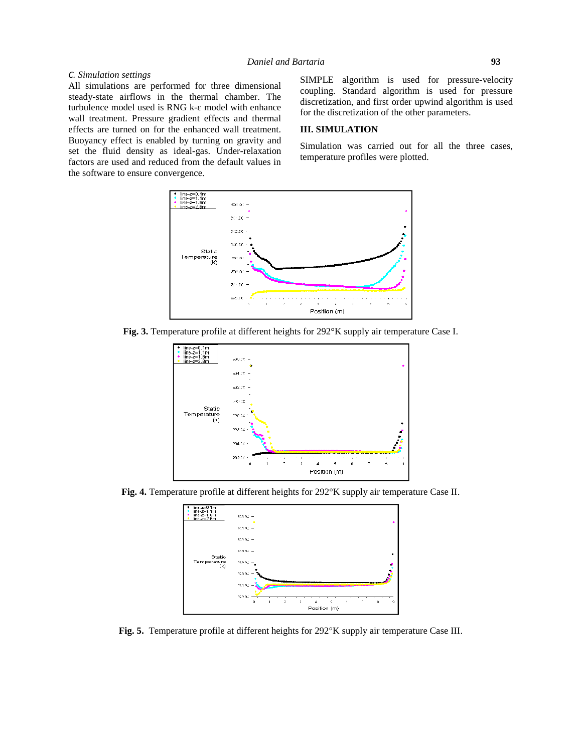### *C. Simulation settings*

All simulations are performed for three dimensional steady-state airflows in the thermal chamber. The turbulence model used is RNG k- model with enhance wall treatment. Pressure gradient effects and thermal effects are turned on for the enhanced wall treatment. Buoyancy effect is enabled by turning on gravity and set the fluid density as ideal-gas. Under-relaxation factors are used and reduced from the default values in the software to ensure convergence.

SIMPLE algorithm is used for pressure-velocity coupling. Standard algorithm is used for pressure discretization, and first order upwind algorithm is used for the discretization of the other parameters.

# **III. SIMULATION**

Simulation was carried out for all the three cases, temperature profiles were plotted.



**Fig. 3.** Temperature profile at different heights for 292°K supply air temperature Case I.



**Fig. 4.** Temperature profile at different heights for 292°K supply air temperature Case II.



**Fig. 5.** Temperature profile at different heights for 292°K supply air temperature Case III.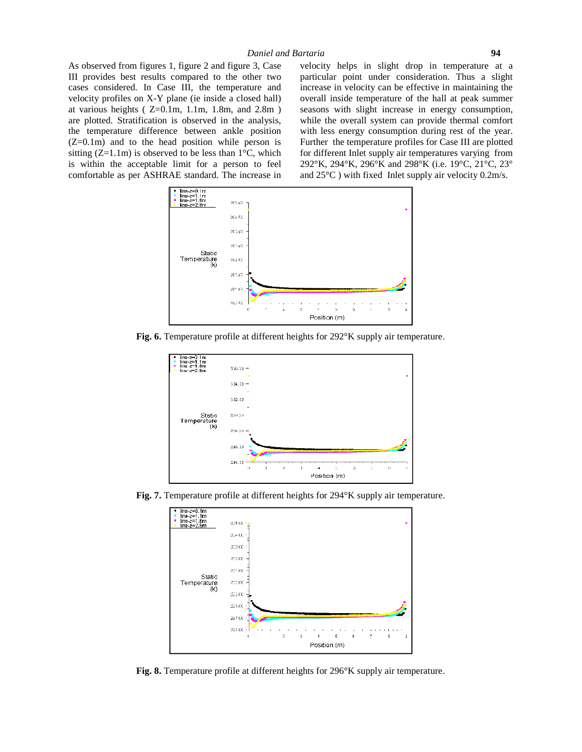As observed from figures 1, figure 2 and figure 3, Case III provides best results compared to the other two cases considered. In Case III, the temperature and velocity profiles on X-Y plane (ie inside a closed hall) at various heights ( $Z=0.1m$ , 1.1m, 1.8m, and 2.8m) are plotted. Stratification is observed in the analysis, the temperature difference between ankle position  $(Z=0.1m)$  and to the head position while person is sitting  $(Z=1.1m)$  is observed to be less than  $1^{\circ}C$ , which is within the acceptable limit for a person to feel comfortable as per ASHRAE standard. The increase in velocity helps in slight drop in temperature at a particular point under consideration. Thus a slight increase in velocity can be effective in maintaining the overall inside temperature of the hall at peak summer seasons with slight increase in energy consumption, while the overall system can provide thermal comfort with less energy consumption during rest of the year. Further the temperature profiles for Case III are plotted for different Inlet supply air temperatures varying from 292°K, 294°K, 296°K and 298°K (i.e. 19°C, 21°C, 23° and  $25^{\circ}$ C) with fixed Inlet supply air velocity 0.2m/s.



**Fig. 6.** Temperature profile at different heights for 292°K supply air temperature.



**Fig. 7.** Temperature profile at different heights for 294°K supply air temperature.



**Fig. 8.** Temperature profile at different heights for 296°K supply air temperature.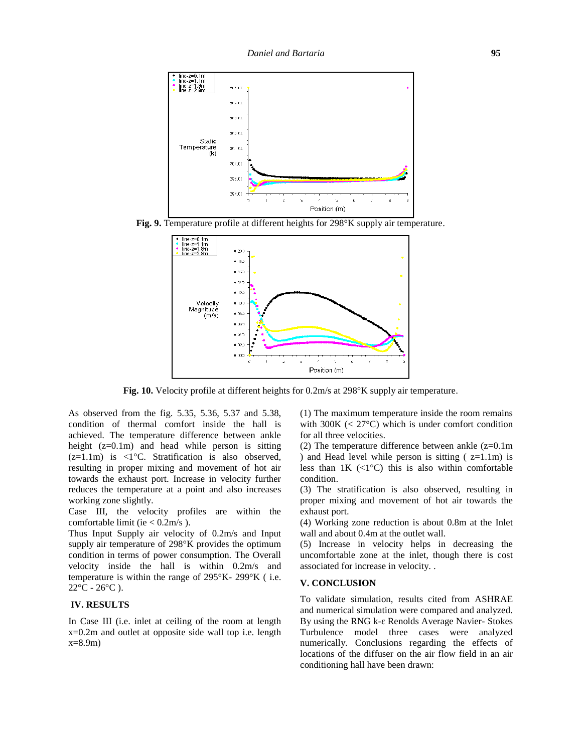

**Fig. 9.** Temperature profile at different heights for 298°K supply air temperature.



**Fig. 10.** Velocity profile at different heights for 0.2m/s at 298°K supply air temperature.

As observed from the fig. 5.35, 5.36, 5.37 and 5.38, condition of thermal comfort inside the hall is achieved. The temperature difference between ankle height (z=0.1m) and head while person is sitting  $(z=1.1m)$  is  $\langle 1^{\circ}$ C. Stratification is also observed, resulting in proper mixing and movement of hot air towards the exhaust port. Increase in velocity further reduces the temperature at a point and also increases working zone slightly.

Case III, the velocity profiles are within the comfortable limit (ie < 0.2m/s ).

Thus Input Supply air velocity of 0.2m/s and Input supply air temperature of 298°K provides the optimum condition in terms of power consumption. The Overall velocity inside the hall is within 0.2m/s and temperature is within the range of 295°K- 299°K ( i.e.  $22^{\circ}$ C -  $26^{\circ}$ C ).

# **IV. RESULTS**

In Case III (i.e. inlet at ceiling of the room at length x=0.2m and outlet at opposite side wall top i.e. length  $x=8.9m$ )

(1) The maximum temperature inside the room remains with  $300K \ll 27^{\circ}$ C) which is under comfort condition for all three velocities.

(2) The temperature difference between ankle  $(z=0.1m)$ ) and Head level while person is sitting  $(z=1.1m)$  is less than  $1K$  (<1 $^{\circ}$ C) this is also within comfortable condition.

(3) The stratification is also observed, resulting in proper mixing and movement of hot air towards the exhaust port.

(4) Working zone reduction is about 0.8m at the Inlet wall and about 0.4m at the outlet wall.

(5) Increase in velocity helps in decreasing the uncomfortable zone at the inlet, though there is cost associated for increase in velocity. .

### **V. CONCLUSION**

To validate simulation, results cited from ASHRAE and numerical simulation were compared and analyzed. By using the RNG k-Renolds Average Navier-Stokes Turbulence model three cases were analyzed numerically. Conclusions regarding the effects of locations of the diffuser on the air flow field in an air conditioning hall have been drawn: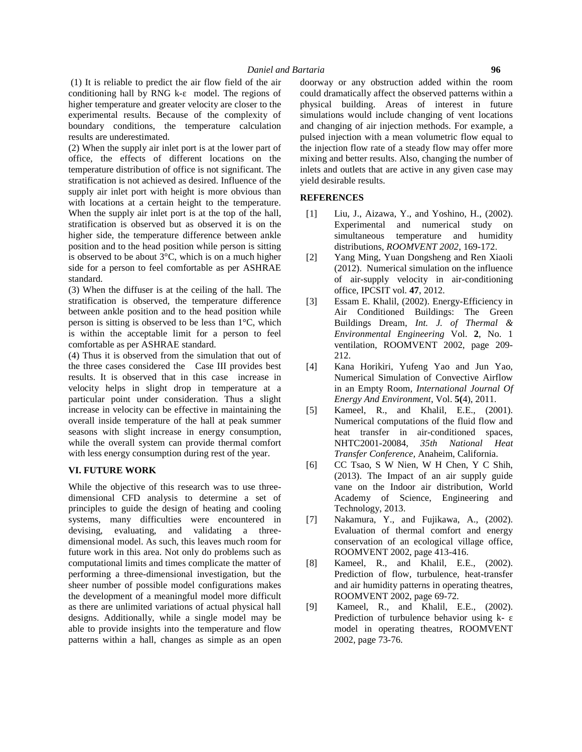(1) It is reliable to predict the air flow field of the air conditioning hall by RNG k- model. The regions of higher temperature and greater velocity are closer to the experimental results. Because of the complexity of boundary conditions, the temperature calculation results are underestimated.

(2) When the supply air inlet port is at the lower part of office, the effects of different locations on the temperature distribution of office is not significant. The stratification is not achieved as desired. Influence of the supply air inlet port with height is more obvious than with locations at a certain height to the temperature. When the supply air inlet port is at the top of the hall, stratification is observed but as observed it is on the higher side, the temperature difference between ankle position and to the head position while person is sitting is observed to be about 3°C, which is on a much higher side for a person to feel comfortable as per ASHRAE standard.

(3) When the diffuser is at the ceiling of the hall. The stratification is observed, the temperature difference [3] between ankle position and to the head position while person is sitting is observed to be less than 1°C, which is within the acceptable limit for a person to feel comfortable as per ASHRAE standard.

(4) Thus it is observed from the simulation that out of the three cases considered the Case III provides best results. It is observed that in this case increase in velocity helps in slight drop in temperature at a particular point under consideration. Thus a slight increase in velocity can be effective in maintaining the [5] overall inside temperature of the hall at peak summer seasons with slight increase in energy consumption, while the overall system can provide thermal comfort with less energy consumption during rest of the year.

# **VI. FUTURE WORK**

While the objective of this research was to use three dimensional CFD analysis to determine a set of principles to guide the design of heating and cooling systems, many difficulties were encountered in [7] devising, evaluating, and validating a three dimensional model. As such, this leaves much room for future work in this area. Not only do problems such as computational limits and times complicate the matter of performing a three-dimensional investigation, but the sheer number of possible model configurations makes the development of a meaningful model more difficult as there are unlimited variations of actual physical hall designs. Additionally, while a single model may be able to provide insights into the temperature and flow patterns within a hall, changes as simple as an open

doorway or any obstruction added within the room could dramatically affect the observed patterns within a physical building. Areas of interest in future simulations would include changing of vent locations and changing of air injection methods. For example, a pulsed injection with a mean volumetric flow equal to the injection flow rate of a steady flow may offer more mixing and better results. Also, changing the number of inlets and outlets that are active in any given case may yield desirable results.

# **REFERENCES**

- [1] Liu, J., Aizawa, Y., and Yoshino, H., (2002). Experimental and numerical study on simultaneous temperature and humidity distributions, *ROOMVENT 2002*, 169-172.
- [2] Yang Ming, Yuan Dongsheng and Ren Xiaoli (2012). Numerical simulation on the influence of air-supply velocity in air-conditioning office, IPCSIT vol. **47**, 2012.
- Essam E. Khalil, (2002). Energy-Efficiency in Air Conditioned Buildings: The Green Buildings Dream, *Int. J. of Thermal & Environmental Engineering* Vol. **2**, No. 1 ventilation, ROOMVENT 2002, page 209- 212.
- [4] Kana Horikiri, Yufeng Yao and Jun Yao, Numerical Simulation of Convective Airflow in an Empty Room, *International Journal Of Energy And Environment*, Vol. **5(**4), 2011.
- Kameel, R., and Khalil, E.E., (2001). Numerical computations of the fluid flow and heat transfer in air-conditioned spaces, NHTC2001-20084, *35th National Heat Transfer Conference,* Anaheim, California.
- [6] CC Tsao, S W Nien, W H Chen, Y C Shih, (2013). The Impact of an air supply guide vane on the Indoor air distribution, World Academy of Science, Engineering and Technology, 2013.
- Nakamura, Y., and Fujikawa, A., (2002). Evaluation of thermal comfort and energy conservation of an ecological village office, ROOMVENT 2002, page 413-416.
- [8] Kameel, R., and Khalil, E.E., (2002). Prediction of flow, turbulence, heat-transfer and air humidity patterns in operating theatres, ROOMVENT 2002, page 69-72.
- [9] Kameel, R., and Khalil, E.E., (2002). Prediction of turbulence behavior using k model in operating theatres, ROOMVENT 2002, page 73-76.